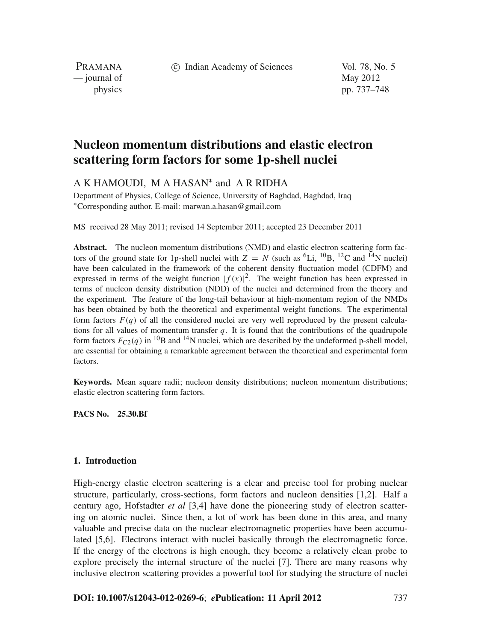c Indian Academy of Sciences Vol. 78, No. 5

PRAMANA  $\frac{1}{2}$  journal of May 2012

physics pp. 737–748

# **Nucleon momentum distributions and elastic electron scattering form factors for some 1p-shell nuclei**

A K HAMOUDI, M A HASAN<sup>∗</sup> and A R RIDHA

Department of Physics, College of Science, University of Baghdad, Baghdad, Iraq <sup>∗</sup>Corresponding author. E-mail: marwan.a.hasan@gmail.com

MS received 28 May 2011; revised 14 September 2011; accepted 23 December 2011

**Abstract.** The nucleon momentum distributions (NMD) and elastic electron scattering form factors of the ground state for 1p-shell nuclei with  $Z = N$  (such as <sup>6</sup>Li, <sup>10</sup>B, <sup>12</sup>C and <sup>14</sup>N nuclei) have been calculated in the framework of the coherent density fluctuation model (CDFM) and expressed in terms of the weight function  $|f(x)|^2$ . The weight function has been expressed in terms of nucleon density distribution (NDD) of the nuclei and determined from the theory and the experiment. The feature of the long-tail behaviour at high-momentum region of the NMDs has been obtained by both the theoretical and experimental weight functions. The experimental form factors  $F(q)$  of all the considered nuclei are very well reproduced by the present calculations for all values of momentum transfer *q*. It is found that the contributions of the quadrupole form factors  $F_{C2}(q)$  in <sup>10</sup>B and <sup>14</sup>N nuclei, which are described by the undeformed p-shell model, are essential for obtaining a remarkable agreement between the theoretical and experimental form factors.

**Keywords.** Mean square radii; nucleon density distributions; nucleon momentum distributions; elastic electron scattering form factors.

**PACS No. 25.30.Bf**

## **1. Introduction**

High-energy elastic electron scattering is a clear and precise tool for probing nuclear structure, particularly, cross-sections, form factors and nucleon densities [1,2]. Half a century ago, Hofstadter *et al* [3,4] have done the pioneering study of electron scattering on atomic nuclei. Since then, a lot of work has been done in this area, and many valuable and precise data on the nuclear electromagnetic properties have been accumulated [5,6]. Electrons interact with nuclei basically through the electromagnetic force. If the energy of the electrons is high enough, they become a relatively clean probe to explore precisely the internal structure of the nuclei [7]. There are many reasons why inclusive electron scattering provides a powerful tool for studying the structure of nuclei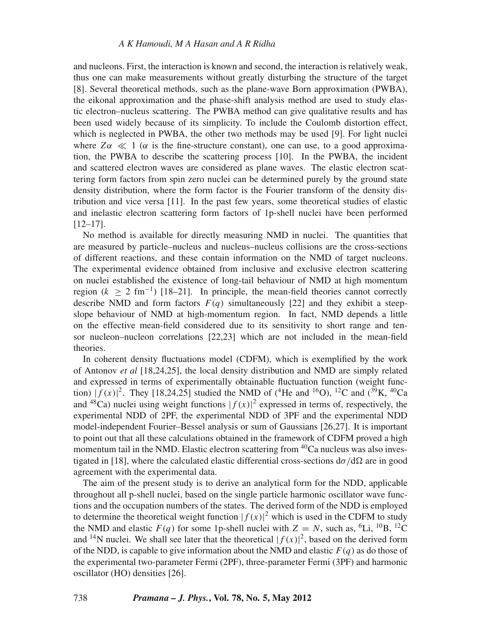and nucleons. First, the interaction is known and second, the interaction is relatively weak, thus one can make measurements without greatly disturbing the structure of the target [8]. Several theoretical methods, such as the plane-wave Born approximation (PWBA), the eikonal approximation and the phase-shift analysis method are used to study elastic electron–nucleus scattering. The PWBA method can give qualitative results and has been used widely because of its simplicity. To include the Coulomb distortion effect, which is neglected in PWBA, the other two methods may be used [9]. For light nuclei where  $Z\alpha \ll 1$  ( $\alpha$  is the fine-structure constant), one can use, to a good approximation, the PWBA to describe the scattering process [10]. In the PWBA, the incident and scattered electron waves are considered as plane waves. The elastic electron scattering form factors from spin zero nuclei can be determined purely by the ground state density distribution, where the form factor is the Fourier transform of the density distribution and vice versa [11]. In the past few years, some theoretical studies of elastic and inelastic electron scattering form factors of 1p-shell nuclei have been performed  $[12–17]$ .

No method is available for directly measuring NMD in nuclei. The quantities that are measured by particle–nucleus and nucleus–nucleus collisions are the cross-sections of different reactions, and these contain information on the NMD of target nucleons. The experimental evidence obtained from inclusive and exclusive electron scattering on nuclei established the existence of long-tail behaviour of NMD at high momentum region  $(k > 2$  fm<sup>-1</sup>) [18–21]. In principle, the mean-field theories cannot correctly describe NMD and form factors  $F(q)$  simultaneously [22] and they exhibit a steepslope behaviour of NMD at high-momentum region. In fact, NMD depends a little on the effective mean-field considered due to its sensitivity to short range and tensor nucleon–nucleon correlations [22,23] which are not included in the mean-field theories.

In coherent density fluctuations model (CDFM), which is exemplified by the work of Antonov *et al* [18,24,25], the local density distribution and NMD are simply related and expressed in terms of experimentally obtainable fluctuation function (weight function)  $|f(x)|^2$ . They [18,24,25] studied the NMD of (<sup>4</sup>He and <sup>16</sup>O), <sup>12</sup>C and (<sup>39</sup>K, <sup>40</sup>Ca and <sup>48</sup>Ca) nuclei using weight functions  $|f(x)|^2$  expressed in terms of, respectively, the experimental NDD of 2PF, the experimental NDD of 3PF and the experimental NDD model-independent Fourier–Bessel analysis or sum of Gaussians [26,27]. It is important to point out that all these calculations obtained in the framework of CDFM proved a high momentum tail in the NMD. Elastic electron scattering from <sup>40</sup>Ca nucleus was also investigated in [18], where the calculated elastic differential cross-sections  $d\sigma/d\Omega$  are in good agreement with the experimental data.

The aim of the present study is to derive an analytical form for the NDD, applicable throughout all p-shell nuclei, based on the single particle harmonic oscillator wave functions and the occupation numbers of the states. The derived form of the NDD is employed to determine the theoretical weight function  $|f(x)|^2$  which is used in the CDFM to study the NMD and elastic  $F(q)$  for some 1p-shell nuclei with  $Z = N$ , such as, <sup>6</sup>Li, <sup>10</sup>B, <sup>12</sup>C and <sup>14</sup>N nuclei. We shall see later that the theoretical  $|f(x)|^2$ , based on the derived form of the NDD, is capable to give information about the NMD and elastic *F*(*q*) as do those of the experimental two-parameter Fermi (2PF), three-parameter Fermi (3PF) and harmonic oscillator (HO) densities [26].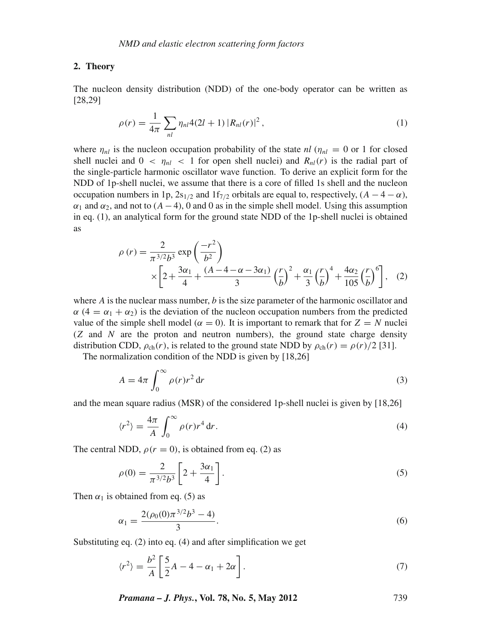#### **2. Theory**

The nucleon density distribution (NDD) of the one-body operator can be written as [28,29]

$$
\rho(r) = \frac{1}{4\pi} \sum_{nl} \eta_{nl} 4(2l+1) |R_{nl}(r)|^2, \tag{1}
$$

where  $\eta_{nl}$  is the nucleon occupation probability of the state  $nl$  ( $\eta_{nl} = 0$  or 1 for closed shell nuclei and  $0 < \eta_{nl} < 1$  for open shell nuclei) and  $R_{nl}(r)$  is the radial part of the single-particle harmonic oscillator wave function. To derive an explicit form for the NDD of 1p-shell nuclei, we assume that there is a core of filled 1s shell and the nucleon occupation numbers in 1p,  $2s_{1/2}$  and  $1f_{7/2}$  orbitals are equal to, respectively,  $(A - 4 - \alpha)$ ,  $\alpha_1$  and  $\alpha_2$ , and not to ( $A - 4$ ), 0 and 0 as in the simple shell model. Using this assumption in eq. (1), an analytical form for the ground state NDD of the 1p-shell nuclei is obtained as

$$
\rho(r) = \frac{2}{\pi^{3/2}b^3} \exp\left(\frac{-r^2}{b^2}\right) \times \left[2 + \frac{3\alpha_1}{4} + \frac{(A - 4 - \alpha - 3\alpha_1)}{3}\left(\frac{r}{b}\right)^2 + \frac{\alpha_1}{3}\left(\frac{r}{b}\right)^4 + \frac{4\alpha_2}{105}\left(\frac{r}{b}\right)^6\right],
$$
 (2)

where *A* is the nuclear mass number, *b* is the size parameter of the harmonic oscillator and  $\alpha$  (4 =  $\alpha_1 + \alpha_2$ ) is the deviation of the nucleon occupation numbers from the predicted value of the simple shell model ( $\alpha = 0$ ). It is important to remark that for  $Z = N$  nuclei (*Z* and *N* are the proton and neutron numbers), the ground state charge density distribution CDD,  $\rho_{ch}(r)$ , is related to the ground state NDD by  $\rho_{ch}(r) = \rho(r)/2$  [31].

The normalization condition of the NDD is given by [18,26]

$$
A = 4\pi \int_0^\infty \rho(r)r^2 dr \tag{3}
$$

and the mean square radius (MSR) of the considered 1p-shell nuclei is given by [18,26]

$$
\langle r^2 \rangle = \frac{4\pi}{A} \int_0^\infty \rho(r) r^4 \, \mathrm{d}r. \tag{4}
$$

The central NDD,  $\rho(r = 0)$ , is obtained from eq. (2) as

$$
\rho(0) = \frac{2}{\pi^{3/2}b^3} \left[ 2 + \frac{3\alpha_1}{4} \right].
$$
\n(5)

Then  $\alpha_1$  is obtained from eq. (5) as

$$
\alpha_1 = \frac{2(\rho_0(0)\pi^{3/2}b^3 - 4)}{3}.\tag{6}
$$

Substituting eq. (2) into eq. (4) and after simplification we get

$$
\langle r^2 \rangle = \frac{b^2}{A} \left[ \frac{5}{2}A - 4 - \alpha_1 + 2\alpha \right].
$$
 (7)

*Pramana – J. Phys.***, Vol. 78, No. 5, May 2012** 739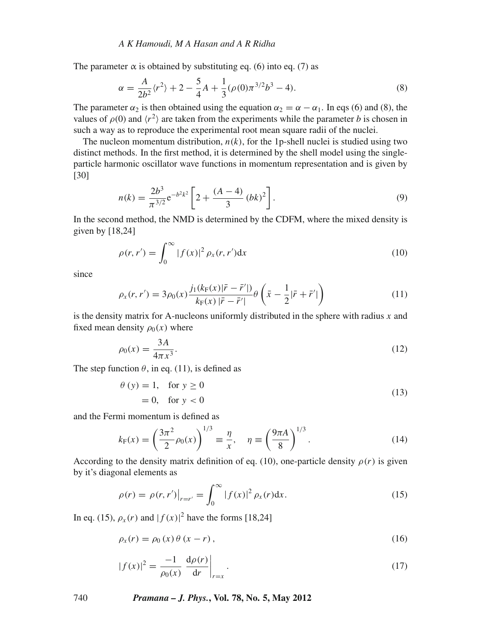The parameter  $\alpha$  is obtained by substituting eq. (6) into eq. (7) as

$$
\alpha = \frac{A}{2b^2} \langle r^2 \rangle + 2 - \frac{5}{4}A + \frac{1}{3} (\rho(0)\pi^{3/2}b^3 - 4). \tag{8}
$$

The parameter  $\alpha_2$  is then obtained using the equation  $\alpha_2 = \alpha - \alpha_1$ . In eqs (6) and (8), the values of  $\rho(0)$  and  $\langle r^2 \rangle$  are taken from the experiments while the parameter *b* is chosen in such a way as to reproduce the experimental root mean square radii of the nuclei.

The nucleon momentum distribution,  $n(k)$ , for the 1p-shell nuclei is studied using two distinct methods. In the first method, it is determined by the shell model using the singleparticle harmonic oscillator wave functions in momentum representation and is given by [30]

$$
n(k) = \frac{2b^3}{\pi^{3/2}} e^{-b^2 k^2} \left[ 2 + \frac{(A-4)}{3} (bk)^2 \right].
$$
 (9)

In the second method, the NMD is determined by the CDFM, where the mixed density is given by [18,24]

$$
\rho(r, r') = \int_0^\infty |f(x)|^2 \rho_x(r, r') \mathrm{d}x \tag{10}
$$

since

$$
\rho_x(r, r') = 3\rho_0(x) \frac{j_1(k_F(x)|\bar{r} - \bar{r}'|)}{k_F(x)|\bar{r} - \bar{r}'|} \theta\left(\bar{x} - \frac{1}{2}|\bar{r} + \bar{r}'|\right)
$$
(11)

is the density matrix for A-nucleons uniformly distributed in the sphere with radius *x* and fixed mean density  $\rho_0(x)$  where

$$
\rho_0(x) = \frac{3A}{4\pi x^3}.
$$
\n(12)

The step function  $\theta$ , in eq. (11), is defined as

$$
\theta(y) = 1, \quad \text{for } y \ge 0
$$
  
= 0, for  $y < 0$  (13)

and the Fermi momentum is defined as

$$
k_{\mathcal{F}}(x) = \left(\frac{3\pi^2}{2}\rho_0(x)\right)^{1/3} \equiv \frac{\eta}{x}, \quad \eta \equiv \left(\frac{9\pi A}{8}\right)^{1/3}.
$$
 (14)

According to the density matrix definition of eq. (10), one-particle density  $\rho(r)$  is given by it's diagonal elements as

$$
\rho(r) = \rho(r, r')\big|_{r=r'} = \int_0^\infty |f(x)|^2 \rho_x(r) \mathrm{d}x. \tag{15}
$$

In eq. (15),  $\rho_x(r)$  and  $|f(x)|^2$  have the forms [18,24]

$$
\rho_x(r) = \rho_0(x)\theta(x-r),\tag{16}
$$

$$
|f(x)|^2 = \frac{-1}{\rho_0(x)} \left. \frac{d\rho(r)}{dr} \right|_{r=x}.
$$
 (17)

740 *Pramana – J. Phys.***, Vol. 78, No. 5, May 2012**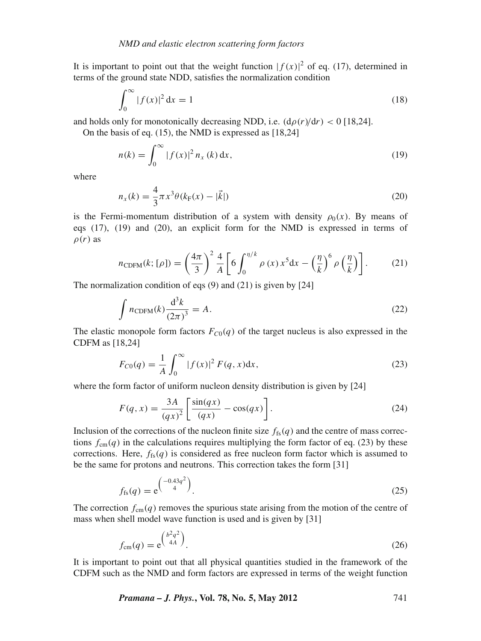It is important to point out that the weight function  $|f(x)|^2$  of eq. (17), determined in terms of the ground state NDD, satisfies the normalization condition

$$
\int_0^\infty |f(x)|^2 \, \mathrm{d}x = 1\tag{18}
$$

and holds only for monotonically decreasing NDD, i.e.  $(d\rho(r)/dr) < 0$  [18,24].

On the basis of eq. (15), the NMD is expressed as [18,24]

$$
n(k) = \int_0^\infty |f(x)|^2 n_x(k) \, \mathrm{d}x,\tag{19}
$$

where

$$
n_x(k) = \frac{4}{3}\pi x^3 \theta(k_F(x) - |\vec{k}|)
$$
\n(20)

is the Fermi-momentum distribution of a system with density  $\rho_0(x)$ . By means of eqs (17), (19) and (20), an explicit form for the NMD is expressed in terms of  $\rho(r)$  as

$$
n_{\text{CDFM}}(k; [\rho]) = \left(\frac{4\pi}{3}\right)^2 \frac{4}{A} \left[ 6 \int_0^{\eta/k} \rho(x) x^5 dx - \left(\frac{\eta}{k}\right)^6 \rho\left(\frac{\eta}{k}\right) \right]. \tag{21}
$$

The normalization condition of eqs (9) and (21) is given by [24]

$$
\int n_{\text{CDFM}}(k)\frac{d^3k}{(2\pi)^3} = A.
$$
\n(22)

The elastic monopole form factors  $F_{C0}(q)$  of the target nucleus is also expressed in the CDFM as [18,24]

$$
F_{C0}(q) = \frac{1}{A} \int_0^\infty |f(x)|^2 F(q, x) dx,
$$
\n(23)

where the form factor of uniform nucleon density distribution is given by [24]

$$
F(q,x) = \frac{3A}{(qx)^2} \left[ \frac{\sin(qx)}{(qx)} - \cos(qx) \right].
$$
 (24)

Inclusion of the corrections of the nucleon finite size  $f_{fs}(q)$  and the centre of mass corrections  $f_{cm}(q)$  in the calculations requires multiplying the form factor of eq. (23) by these corrections. Here,  $f_{fs}(q)$  is considered as free nucleon form factor which is assumed to be the same for protons and neutrons. This correction takes the form [31]

$$
f_{\rm fs}(q) = e^{\left(\frac{-0.43q^2}{4}\right)}.
$$
 (25)

The correction  $f_{\text{cm}}(q)$  removes the spurious state arising from the motion of the centre of mass when shell model wave function is used and is given by [31]

$$
f_{\rm cm}(q) = e^{\left(\frac{b^2 q^2}{4A}\right)}.
$$
\n(26)

It is important to point out that all physical quantities studied in the framework of the CDFM such as the NMD and form factors are expressed in terms of the weight function

*Pramana – J. Phys.***, Vol. 78, No. 5, May 2012** 741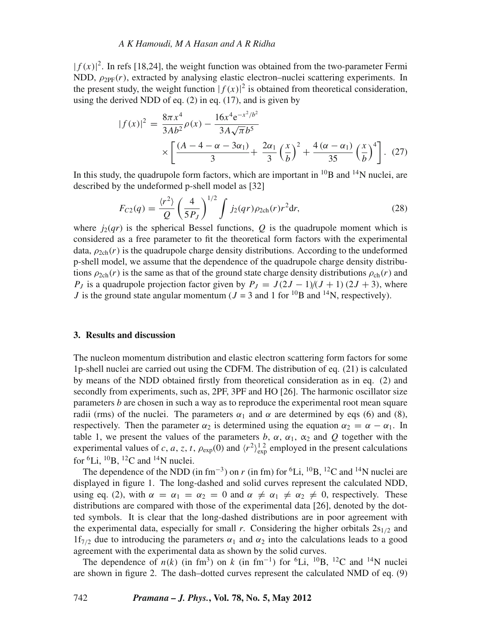#### *A K Hamoudi, M A Hasan and A R Ridha*

 $|f(x)|^2$ . In refs [18,24], the weight function was obtained from the two-parameter Fermi NDD,  $\rho_{\text{PE}}(r)$ , extracted by analysing elastic electron–nuclei scattering experiments. In the present study, the weight function  $|f(x)|^2$  is obtained from theoretical consideration, using the derived NDD of eq.  $(2)$  in eq.  $(17)$ , and is given by

$$
|f(x)|^2 = \frac{8\pi x^4}{3Ab^2} \rho(x) - \frac{16x^4 e^{-x^2/b^2}}{3A\sqrt{\pi}b^5}
$$

$$
\times \left[ \frac{(A - 4 - \alpha - 3\alpha_1)}{3} + \frac{2\alpha_1}{3} \left(\frac{x}{b}\right)^2 + \frac{4(\alpha - \alpha_1)}{35} \left(\frac{x}{b}\right)^4 \right]. (27)
$$

In this study, the quadrupole form factors, which are important in  $^{10}B$  and  $^{14}N$  nuclei, are described by the undeformed p-shell model as [32]

$$
F_{C2}(q) = \frac{\langle r^2 \rangle}{Q} \left(\frac{4}{5P_J}\right)^{1/2} \int j_2(qr) \rho_{2\text{ch}}(r) r^2 \text{d}r,
$$
 (28)

where  $j_2(qr)$  is the spherical Bessel functions, O is the quadrupole moment which is considered as a free parameter to fit the theoretical form factors with the experimental data,  $\rho_{2ch}(r)$  is the quadrupole charge density distributions. According to the undeformed p-shell model, we assume that the dependence of the quadrupole charge density distributions  $\rho_{2ch}(r)$  is the same as that of the ground state charge density distributions  $\rho_{ch}(r)$  and *P<sub>J</sub>* is a quadrupole projection factor given by  $P_J = J(2J - 1)/(J + 1)(2J + 3)$ , where *J* is the ground state angular momentum ( $J = 3$  and 1 for <sup>10</sup>B and <sup>14</sup>N, respectively).

### **3. Results and discussion**

The nucleon momentum distribution and elastic electron scattering form factors for some 1p-shell nuclei are carried out using the CDFM. The distribution of eq. (21) is calculated by means of the NDD obtained firstly from theoretical consideration as in eq. (2) and secondly from experiments, such as, 2PF, 3PF and HO [26]. The harmonic oscillator size parameters *b* are chosen in such a way as to reproduce the experimental root mean square radii (rms) of the nuclei. The parameters  $\alpha_1$  and  $\alpha$  are determined by eqs (6) and (8), respectively. Then the parameter  $\alpha_2$  is determined using the equation  $\alpha_2 = \alpha - \alpha_1$ . In table 1, we present the values of the parameters  $b$ ,  $\alpha$ ,  $\alpha_1$ ,  $\alpha_2$  and  $Q$  together with the experimental values of *c*, *a*, *z*, *t*,  $\rho_{exp}(0)$  and  $\langle r^2 \rangle_{exp}^{12}$  employed in the present calculations for  ${}^{6}$ Li,  ${}^{10}$ B,  ${}^{12}$ C and  ${}^{14}$ N nuclei.

The dependence of the NDD (in fm<sup>-3</sup>) on *r* (in fm) for <sup>6</sup>Li, <sup>10</sup>B, <sup>12</sup>C and <sup>14</sup>N nuclei are displayed in figure 1. The long-dashed and solid curves represent the calculated NDD, using eq. (2), with  $\alpha = \alpha_1 = \alpha_2 = 0$  and  $\alpha \neq \alpha_1 \neq \alpha_2 \neq 0$ , respectively. These distributions are compared with those of the experimental data [26], denoted by the dotted symbols. It is clear that the long-dashed distributions are in poor agreement with the experimental data, especially for small  $r$ . Considering the higher orbitals  $2s_{1/2}$  and 1f<sub>7/2</sub> due to introducing the parameters  $\alpha_1$  and  $\alpha_2$  into the calculations leads to a good agreement with the experimental data as shown by the solid curves.

The dependence of  $n(k)$  (in fm<sup>3</sup>) on  $k$  (in fm<sup>-1</sup>) for <sup>6</sup>Li, <sup>10</sup>B, <sup>12</sup>C and <sup>14</sup>N nuclei are shown in figure 2. The dash–dotted curves represent the calculated NMD of eq. (9)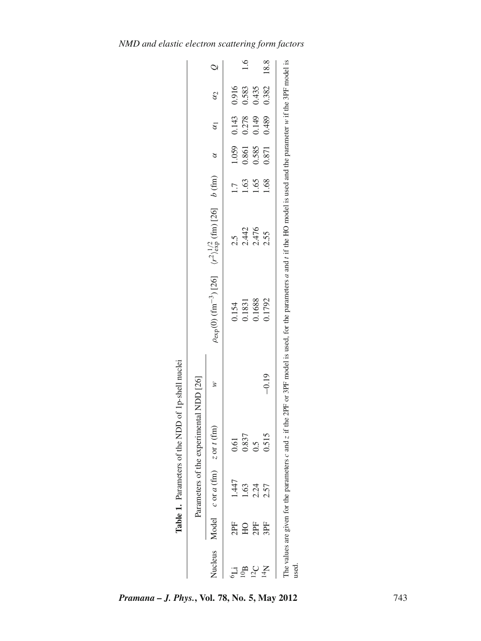|                |              |                                       | Table 1. Parameters of the NDD of 1p-shell nuclei<br>Parameters of the experimental NDD [26] |         |                                                                                                                                                                             |       |                  |           |                       |       |          |
|----------------|--------------|---------------------------------------|----------------------------------------------------------------------------------------------|---------|-----------------------------------------------------------------------------------------------------------------------------------------------------------------------------|-------|------------------|-----------|-----------------------|-------|----------|
| Nucleus        |              | Model $c$ or $a$ (fm) $z$ or $t$ (fm) |                                                                                              |         | $\rho_{\rm exp}(0)$ (fm <sup>-3</sup> ) [26] $\langle r^2 \rangle_{\rm exp}^{1/2}$ (fm) [26] $b$ (fm)                                                                       |       |                  | $\alpha$  | $\alpha_1$ $\alpha_2$ |       | $\circ$  |
|                | 2PF          | 1.447                                 | 0.61                                                                                         |         | 0.154                                                                                                                                                                       | 2.5   | $\overline{1}$ . | $1.059$ . | 0.143                 | 0.916 |          |
|                | $_{\rm H O}$ | 1.63                                  | 0.837                                                                                        |         | 0.1831                                                                                                                                                                      | 2.442 | 1.63             | 0.861     | 0.278                 | 0.583 | $^{1.6}$ |
| 12C            | 2PF          | $2.24$<br>$2.57$                      | $0.5\,$                                                                                      |         | 0.1688                                                                                                                                                                      | 2.476 | 1.65             | 0.585     | 0.149                 | 0.435 |          |
| $\overline{M}$ | 3PF          |                                       | 0.515                                                                                        | $-0.19$ | 0.1792                                                                                                                                                                      | 2.55  | 1.68             | 0.871     | 0.489                 | 0.382 | 18.8     |
| used           |              |                                       |                                                                                              |         | The values are given for the parameters c and z if the 2PF or 3PF model is used, for the parameters a and t if the HO model is used and the parameter w if the 3PF model is |       |                  |           |                       |       |          |

*Pramana – J. Phys.***, Vol. 78, No. 5, May 2012** 743

Table 1. Parameters of the NDD of 1p-shell nuclei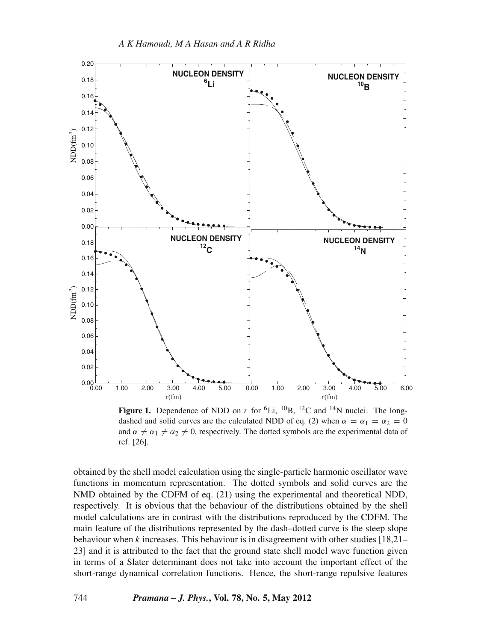

**Figure 1.** Dependence of NDD on *r* for <sup>6</sup>Li, <sup>10</sup>B, <sup>12</sup>C and <sup>14</sup>N nuclei. The longdashed and solid curves are the calculated NDD of eq. (2) when  $\alpha = \alpha_1 = \alpha_2 = 0$ and  $\alpha \neq \alpha_1 \neq \alpha_2 \neq 0$ , respectively. The dotted symbols are the experimental data of ref. [26].

obtained by the shell model calculation using the single-particle harmonic oscillator wave functions in momentum representation. The dotted symbols and solid curves are the NMD obtained by the CDFM of eq. (21) using the experimental and theoretical NDD, respectively. It is obvious that the behaviour of the distributions obtained by the shell model calculations are in contrast with the distributions reproduced by the CDFM. The main feature of the distributions represented by the dash–dotted curve is the steep slope behaviour when *k* increases. This behaviour is in disagreement with other studies [18,21– 23] and it is attributed to the fact that the ground state shell model wave function given in terms of a Slater determinant does not take into account the important effect of the short-range dynamical correlation functions. Hence, the short-range repulsive features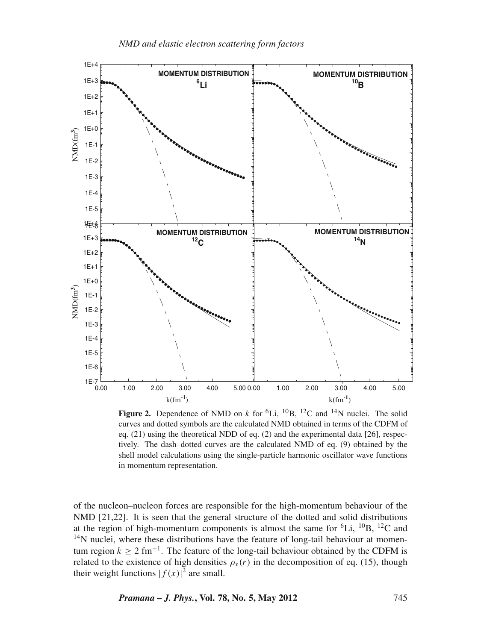

**Figure 2.** Dependence of NMD on *k* for <sup>6</sup>Li, <sup>10</sup>B, <sup>12</sup>C and <sup>14</sup>N nuclei. The solid curves and dotted symbols are the calculated NMD obtained in terms of the CDFM of eq. (21) using the theoretical NDD of eq. (2) and the experimental data [26], respectively. The dash–dotted curves are the calculated NMD of eq. (9) obtained by the shell model calculations using the single-particle harmonic oscillator wave functions in momentum representation.

of the nucleon–nucleon forces are responsible for the high-momentum behaviour of the NMD [21,22]. It is seen that the general structure of the dotted and solid distributions at the region of high-momentum components is almost the same for  ${}^{6}Li$ ,  ${}^{10}B$ ,  ${}^{12}C$  and <sup>14</sup>N nuclei, where these distributions have the feature of long-tail behaviour at momentum region  $k \ge 2$  fm<sup>-1</sup>. The feature of the long-tail behaviour obtained by the CDFM is related to the existence of high densities  $\rho_x(r)$  in the decomposition of eq. (15), though their weight functions  $|f(x)|^2$  are small.

*Pramana – J. Phys.***, Vol. 78, No. 5, May 2012** 745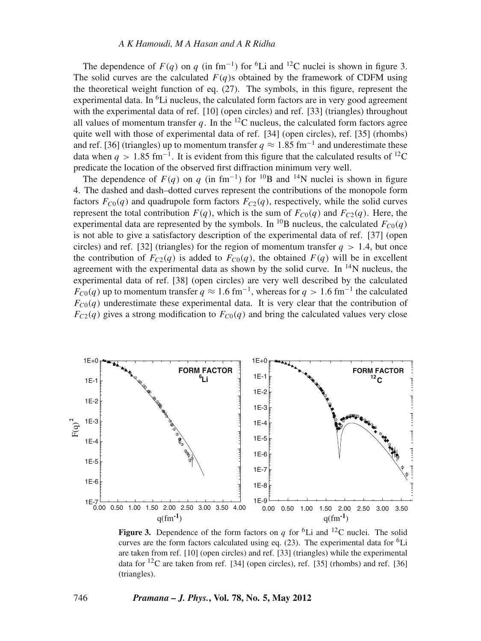The dependence of  $F(q)$  on *q* (in fm<sup>-1</sup>) for <sup>6</sup>Li and <sup>12</sup>C nuclei is shown in figure 3. The solid curves are the calculated  $F(q)$ s obtained by the framework of CDFM using the theoretical weight function of eq. (27). The symbols, in this figure, represent the experimental data. In  ${}^{6}$ Li nucleus, the calculated form factors are in very good agreement with the experimental data of ref. [10] (open circles) and ref. [33] (triangles) throughout all values of momentum transfer  $q$ . In the <sup>12</sup>C nucleus, the calculated form factors agree quite well with those of experimental data of ref. [34] (open circles), ref. [35] (rhombs) and ref. [36] (triangles) up to momentum transfer  $q \approx 1.85$  fm<sup>-1</sup> and underestimate these data when  $q > 1.85$  fm<sup>-1</sup>. It is evident from this figure that the calculated results of <sup>12</sup>C predicate the location of the observed first diffraction minimum very well.

The dependence of  $F(q)$  on  $q$  (in fm<sup>-1</sup>) for <sup>10</sup>B and <sup>14</sup>N nuclei is shown in figure 4. The dashed and dash–dotted curves represent the contributions of the monopole form factors  $F_{C0}(q)$  and quadrupole form factors  $F_{C2}(q)$ , respectively, while the solid curves represent the total contribution  $F(q)$ , which is the sum of  $F_{C0}(q)$  and  $F_{C2}(q)$ . Here, the experimental data are represented by the symbols. In <sup>10</sup>B nucleus, the calculated  $F_{C0}(q)$ is not able to give a satisfactory description of the experimental data of ref. [37] (open circles) and ref. [32] (triangles) for the region of momentum transfer  $q > 1.4$ , but once the contribution of  $F_{C2}(q)$  is added to  $F_{C0}(q)$ , the obtained  $F(q)$  will be in excellent agreement with the experimental data as shown by the solid curve. In  $^{14}N$  nucleus, the experimental data of ref. [38] (open circles) are very well described by the calculated *F<sub>C0</sub>(q)* up to momentum transfer  $q \approx 1.6$  fm<sup>-1</sup>, whereas for  $q > 1.6$  fm<sup>-1</sup> the calculated  $F_{C0}(q)$  underestimate these experimental data. It is very clear that the contribution of  $F_{C2}(q)$  gives a strong modification to  $F_{C0}(q)$  and bring the calculated values very close



**Figure 3.** Dependence of the form factors on *q* for <sup>6</sup>Li and <sup>12</sup>C nuclei. The solid curves are the form factors calculated using eq.  $(23)$ . The experimental data for <sup>6</sup>Li are taken from ref. [10] (open circles) and ref. [33] (triangles) while the experimental data for  ${}^{12}C$  are taken from ref. [34] (open circles), ref. [35] (rhombs) and ref. [36] (triangles).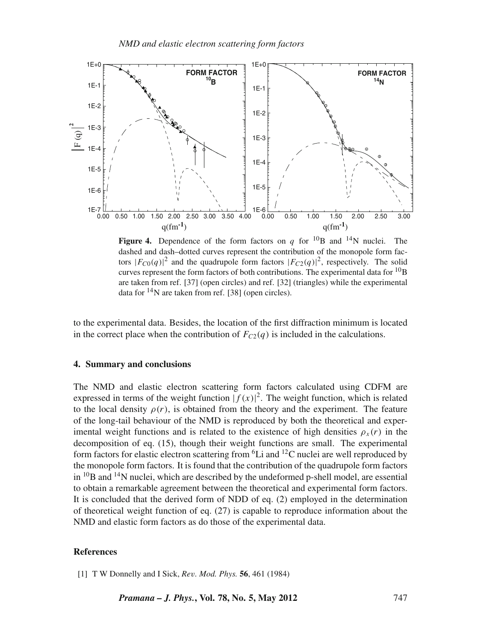

**Figure 4.** Dependence of the form factors on *q* for <sup>10</sup>B and <sup>14</sup>N nuclei. The dashed and dash–dotted curves represent the contribution of the monopole form factors  $|F_{C0}(q)|^2$  and the quadrupole form factors  $|F_{C2}(q)|^2$ , respectively. The solid curves represent the form factors of both contributions. The experimental data for  $^{10}$ B are taken from ref. [37] (open circles) and ref. [32] (triangles) while the experimental data for  $^{14}$ N are taken from ref. [38] (open circles).

to the experimental data. Besides, the location of the first diffraction minimum is located in the correct place when the contribution of  $F_{C2}(q)$  is included in the calculations.

## **4. Summary and conclusions**

The NMD and elastic electron scattering form factors calculated using CDFM are expressed in terms of the weight function  $|f(x)|^2$ . The weight function, which is related to the local density  $\rho(r)$ , is obtained from the theory and the experiment. The feature of the long-tail behaviour of the NMD is reproduced by both the theoretical and experimental weight functions and is related to the existence of high densities  $\rho_x(r)$  in the decomposition of eq. (15), though their weight functions are small. The experimental form factors for elastic electron scattering from  ${}^{6}$ Li and  ${}^{12}$ C nuclei are well reproduced by the monopole form factors. It is found that the contribution of the quadrupole form factors in  ${}^{10}$ B and  ${}^{14}$ N nuclei, which are described by the undeformed p-shell model, are essential to obtain a remarkable agreement between the theoretical and experimental form factors. It is concluded that the derived form of NDD of eq. (2) employed in the determination of theoretical weight function of eq. (27) is capable to reproduce information about the NMD and elastic form factors as do those of the experimental data.

#### **References**

[1] T W Donnelly and I Sick, *Re*v*. Mod. Phys.* **56**, 461 (1984)